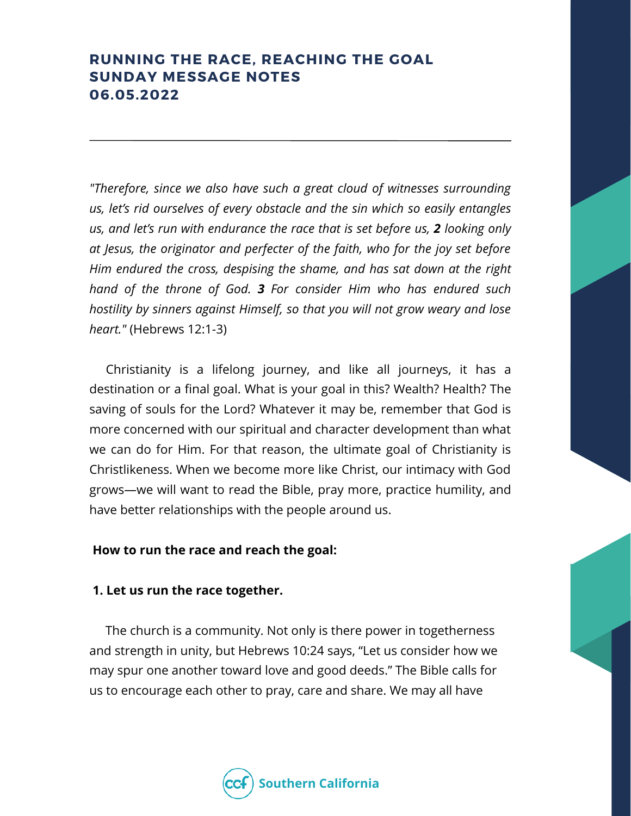# **RUNNING THE RACE, REACHING THE GOAL SUNDAY MESSAGE NOTES 06.05.2022**

*"Therefore, since we also have such a great cloud of witnesses surrounding us, let's rid ourselves of every obstacle and the sin which so easily entangles us, and let's run with endurance the race that is set before us, 2 looking only at Jesus, the originator and perfecter of the faith, who for the joy set before Him endured the cross, despising the shame, and has sat down at the right hand of the throne of God. 3 For consider Him who has endured such hostility by sinners against Himself, so that you will not grow weary and lose heart."* (Hebrews 12:1-3)

Christianity is a lifelong journey, and like all journeys, it has a destination or a final goal. What is your goal in this? Wealth? Health? The saving of souls for the Lord? Whatever it may be, remember that God is more concerned with our spiritual and character development than what we can do for Him. For that reason, the ultimate goal of Christianity is Christlikeness. When we become more like Christ, our intimacy with God grows—we will want to read the Bible, pray more, practice humility, and have better relationships with the people around us.

#### **How to run the race and reach the goal:**

#### **1. Let us run the race together.**

The church is a community. Not only is there power in togetherness and strength in unity, but Hebrews 10:24 says, "Let us consider how we may spur one another toward love and good deeds." The Bible calls for us to encourage each other to pray, care and share. We may all have

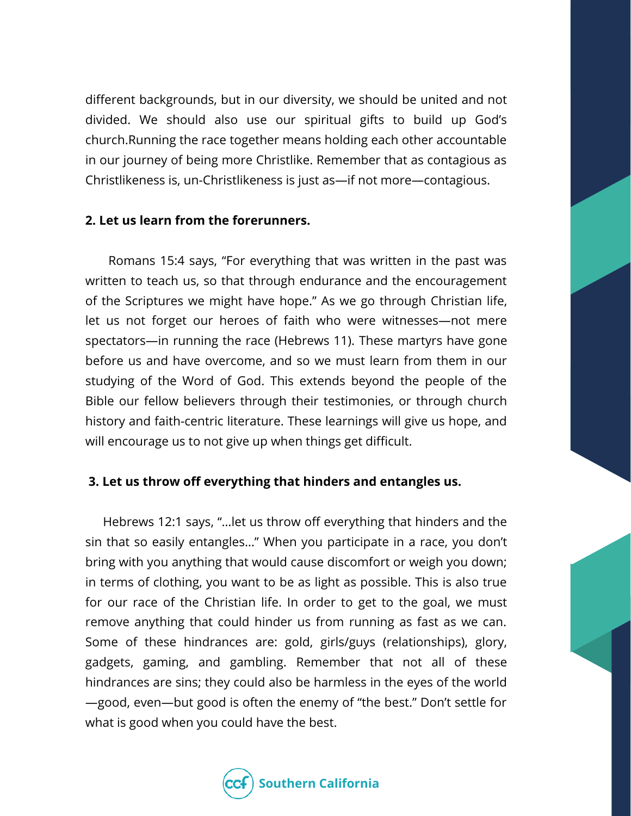different backgrounds, but in our diversity, we should be united and not divided. We should also use our spiritual gifts to build up God's church.Running the race together means holding each other accountable in our journey of being more Christlike. Remember that as contagious as Christlikeness is, un-Christlikeness is just as—if not more—contagious.

#### **2. Let us learn from the forerunners.**

Romans 15:4 says, "For everything that was written in the past was written to teach us, so that through endurance and the encouragement of the Scriptures we might have hope." As we go through Christian life, let us not forget our heroes of faith who were witnesses—not mere spectators—in running the race (Hebrews 11). These martyrs have gone before us and have overcome, and so we must learn from them in our studying of the Word of God. This extends beyond the people of the Bible our fellow believers through their testimonies, or through church history and faith-centric literature. These learnings will give us hope, and will encourage us to not give up when things get difficult.

### **3. Let us throw off everything that hinders and entangles us.**

Hebrews 12:1 says, "…let us throw off everything that hinders and the sin that so easily entangles…" When you participate in a race, you don't bring with you anything that would cause discomfort or weigh you down; in terms of clothing, you want to be as light as possible. This is also true for our race of the Christian life. In order to get to the goal, we must remove anything that could hinder us from running as fast as we can. Some of these hindrances are: gold, girls/guys (relationships), glory, gadgets, gaming, and gambling. Remember that not all of these hindrances are sins; they could also be harmless in the eyes of the world —good, even—but good is often the enemy of "the best." Don't settle for what is good when you could have the best.